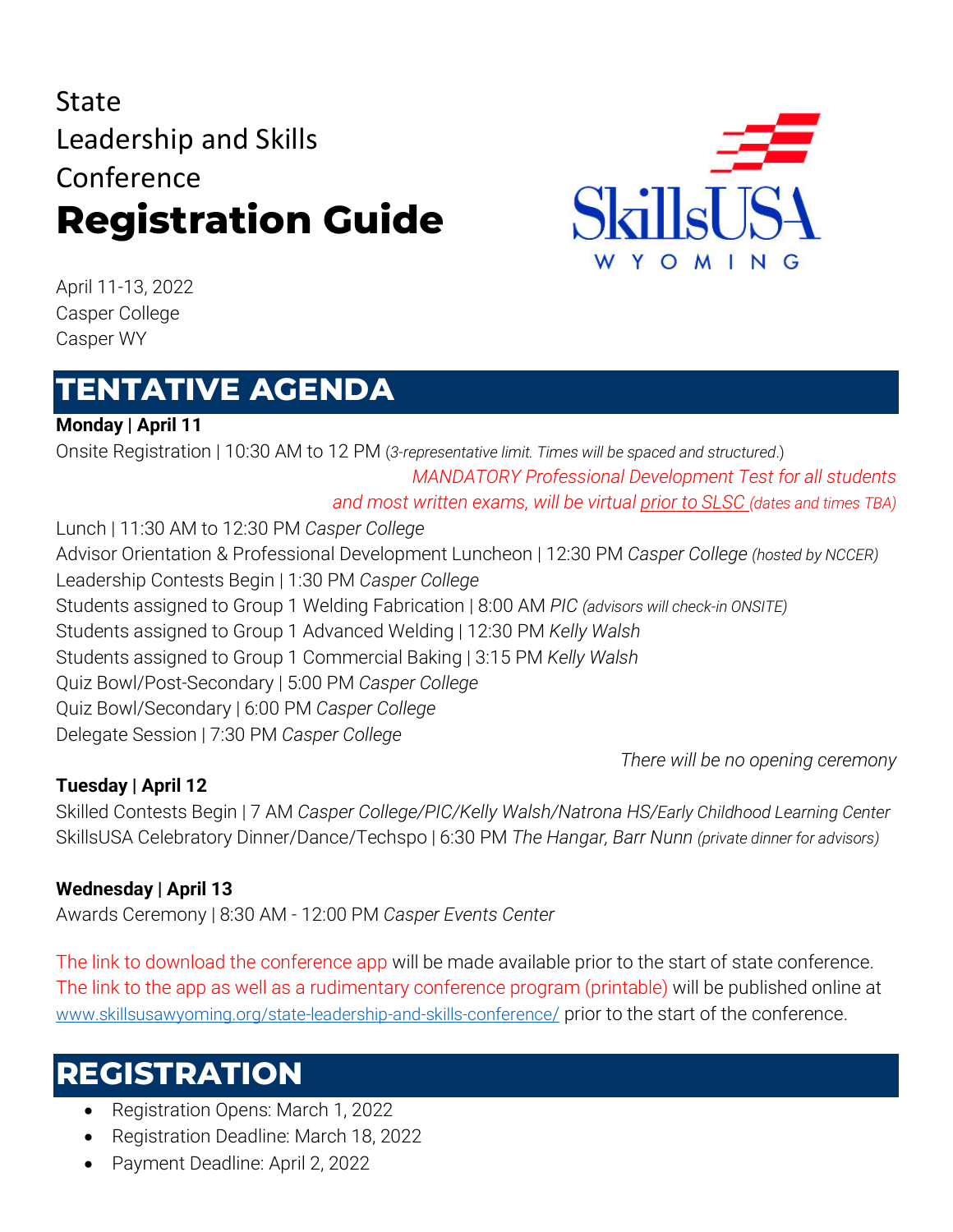# State Leadership and Skills Conference **Registration Guide**



April 11-13, 2022 Casper College Casper WY

## **TENTATIVE AGENDA**

**Monday | April 11**

Onsite Registration | 10:30 AM to 12 PM (*3-representative limit. Times will be spaced and structured*.) *MANDATORY Professional Development Test for all students and most written exams, will be virtual prior to SLSC (dates and times TBA)* Lunch | 11:30 AM to 12:30 PM *Casper College* Advisor Orientation & Professional Development Luncheon | 12:30 PM *Casper College (hosted by NCCER)* Leadership Contests Begin | 1:30 PM *Casper College* Students assigned to Group 1 Welding Fabrication | 8:00 AM *PIC (advisors will check-in ONSITE)* Students assigned to Group 1 Advanced Welding | 12:30 PM *Kelly Walsh* Students assigned to Group 1 Commercial Baking | 3:15 PM *Kelly Walsh* Quiz Bowl/Post-Secondary | 5:00 PM *Casper College*

Quiz Bowl/Secondary | 6:00 PM *Casper College*

Delegate Session | 7:30 PM *Casper College*

*There will be no opening ceremony*

### **Tuesday | April 12**

Skilled Contests Begin | 7 AM *Casper College/PIC/Kelly Walsh/Natrona HS/Early Childhood Learning Center* SkillsUSA Celebratory Dinner/Dance/Techspo | 6:30 PM *The Hangar, Barr Nunn (private dinner for advisors)*

### **Wednesday | April 13**

Awards Ceremony | 8:30 AM - 12:00 PM *Casper Events Center*

The link to download the conference app will be made available prior to the start of state conference. The link to the app as well as a rudimentary conference program (printable) will be published online at www.skillsusawyoming.org/state-leadership-and-skills-conference/ prior to the start of the conference.

## **REGISTRATION**

- Registration Opens: March 1, 2022
- Registration Deadline: March 18, 2022
- Payment Deadline: April 2, 2022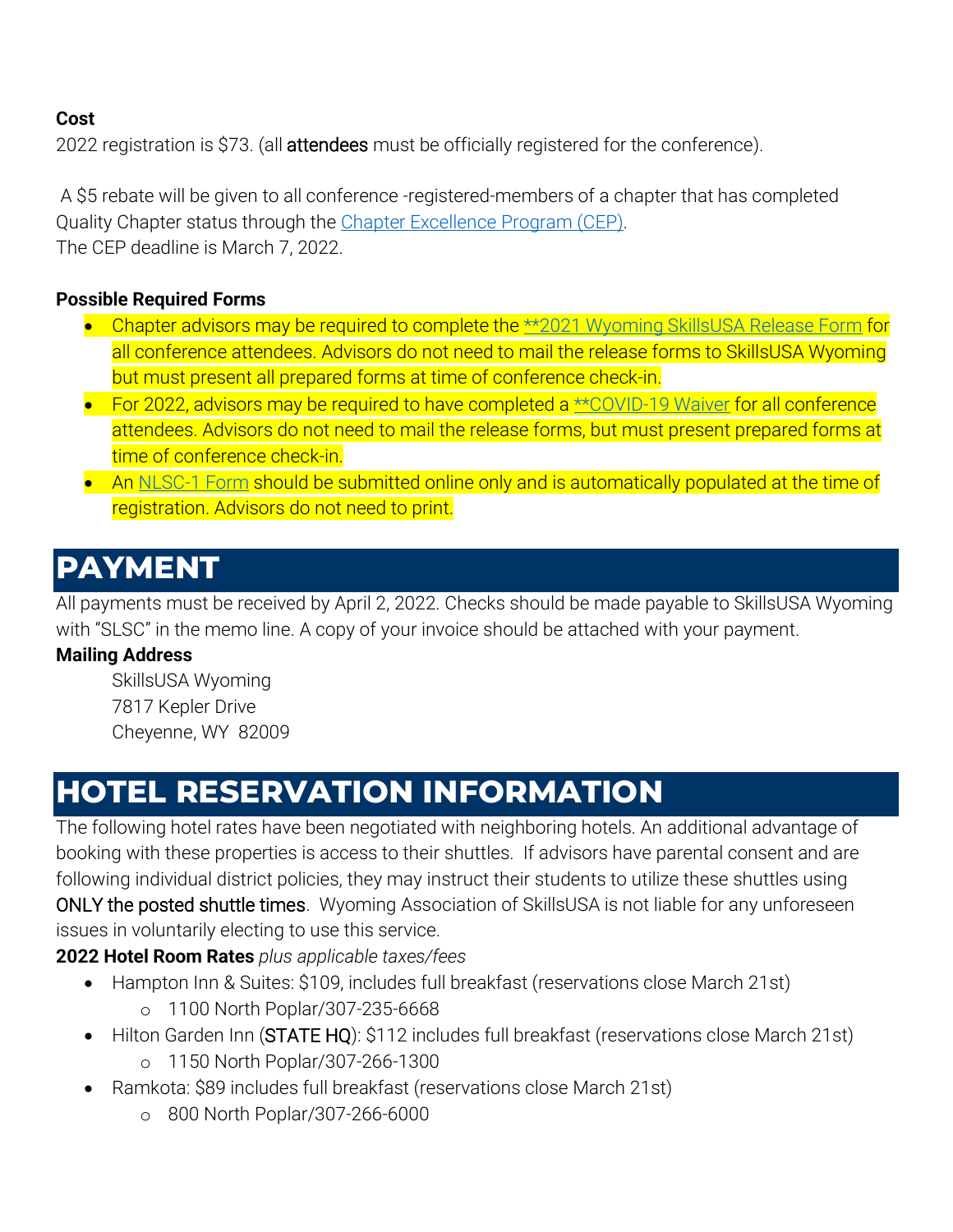#### **Cost**

2022 registration is \$73. (all **attendees** must be officially registered for the conference).

A \$5 rebate will be given to all conference -registered-members of a chapter that has completed Quality Chapter status through the [Chapter Excellence Program](https://www.skillsusa.org/programs/chapter-excellence-program/) (CEP). The CEP deadline is March 7, 2022.

#### **Possible Required Forms**

- Chapter advisors may be required to complete the \*\*2021 [Wyoming SkillsUSA Release Form](https://www.skillsusawyoming.org/wp-content/uploads/2021/01/WY-CTSO-Release-Form-SkillsUSA-2.pdf) for all conference attendees. Advisors do not need to mail the release forms to SkillsUSA Wyoming but must present all prepared forms at time of conference check-in.
- For 2022, advisors may be required to have completed a [\\*\\*COVID-19 Waiver](https://www.skillsusawyoming.org/wp-content/uploads/2021/01/covid-19-waiver.pdf) for all conference attendees. Advisors do not need to mail the release forms, but must present prepared forms at time of conference check-in.
- An [NLSC-1 Form](http://www.skillsusa-register.org/Login.aspx) should be submitted online only and is automatically populated at the time of registration. Advisors do not need to print.

### **PAYMENT**

All payments must be received by April 2, 2022. Checks should be made payable to SkillsUSA Wyoming with "SLSC" in the memo line. A copy of your invoice should be attached with your payment.

#### **Mailing Address**

SkillsUSA Wyoming 7817 Kepler Drive Cheyenne, WY 82009

## **HOTEL RESERVATION INFORMATION**

The following hotel rates have been negotiated with neighboring hotels. An additional advantage of booking with these properties is access to their shuttles. If advisors have parental consent and are following individual district policies, they may instruct their students to utilize these shuttles using ONLY the posted shuttle times. Wyoming Association of SkillsUSA is not liable for any unforeseen issues in voluntarily electing to use this service.

**2022 Hotel Room Rates** *plus applicable taxes/fees*

- Hampton Inn & Suites: \$109, includes full breakfast (reservations close March 21st) o 1100 North Poplar/307-235-6668
- Hilton Garden Inn (STATE HQ): \$112 includes full breakfast (reservations close March 21st)
	- o 1150 North Poplar/307-266-1300
- Ramkota: \$89 includes full breakfast (reservations close March 21st)
	- o 800 North Poplar/307-266-6000